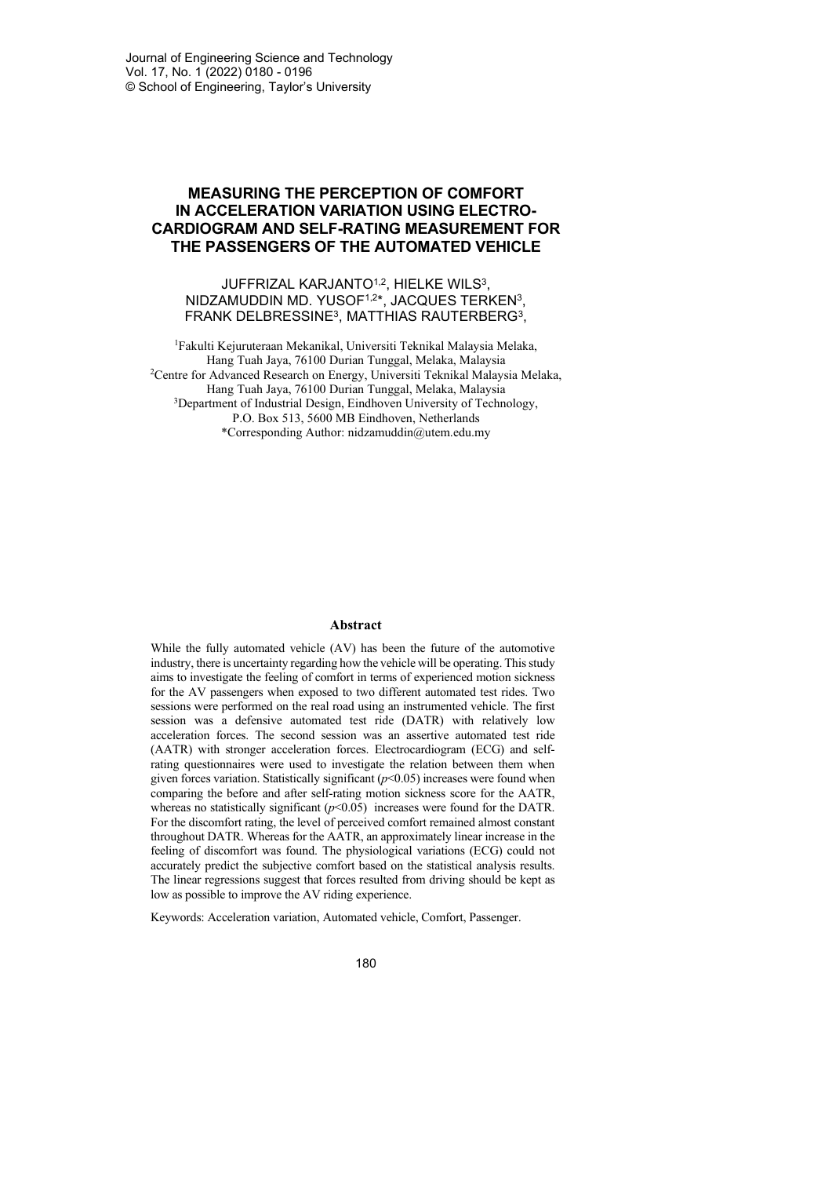# **MEASURING THE PERCEPTION OF COMFORT IN ACCELERATION VARIATION USING ELECTRO-CARDIOGRAM AND SELF-RATING MEASUREMENT FOR THE PASSENGERS OF THE AUTOMATED VEHICLE**

## JUFFRIZAL KARJANTO<sup>1,2</sup>, HIELKE WILS<sup>3</sup>, NIDZAMUDDIN MD. YUSOF1,2\*, JACQUES TERKEN3, FRANK DELBRESSINE3, MATTHIAS RAUTERBERG3,

1Fakulti Kejuruteraan Mekanikal, Universiti Teknikal Malaysia Melaka, Hang Tuah Jaya, 76100 Durian Tunggal, Melaka, Malaysia 2Centre for Advanced Research on Energy, Universiti Teknikal Malaysia Melaka, Hang Tuah Jaya, 76100 Durian Tunggal, Melaka, Malaysia <sup>3</sup>Department of Industrial Design, Eindhoven University of Technology, P.O. Box 513, 5600 MB Eindhoven, Netherlands \*Corresponding Author: [nidzamuddin@utem.edu.my](mailto:nidzamuddin@utem.edu.my)

#### **Abstract**

While the fully automated vehicle (AV) has been the future of the automotive industry, there is uncertainty regarding how the vehicle will be operating. This study aims to investigate the feeling of comfort in terms of experienced motion sickness for the AV passengers when exposed to two different automated test rides. Two sessions were performed on the real road using an instrumented vehicle. The first session was a defensive automated test ride (DATR) with relatively low acceleration forces. The second session was an assertive automated test ride (AATR) with stronger acceleration forces. Electrocardiogram (ECG) and selfrating questionnaires were used to investigate the relation between them when given forces variation. Statistically significant  $(p<0.05)$  increases were found when comparing the before and after self-rating motion sickness score for the AATR, whereas no statistically significant  $(p<0.05)$  increases were found for the DATR. For the discomfort rating, the level of perceived comfort remained almost constant throughout DATR. Whereas for the AATR, an approximately linear increase in the feeling of discomfort was found. The physiological variations (ECG) could not accurately predict the subjective comfort based on the statistical analysis results. The linear regressions suggest that forces resulted from driving should be kept as low as possible to improve the AV riding experience.

Keywords: Acceleration variation, Automated vehicle, Comfort, Passenger.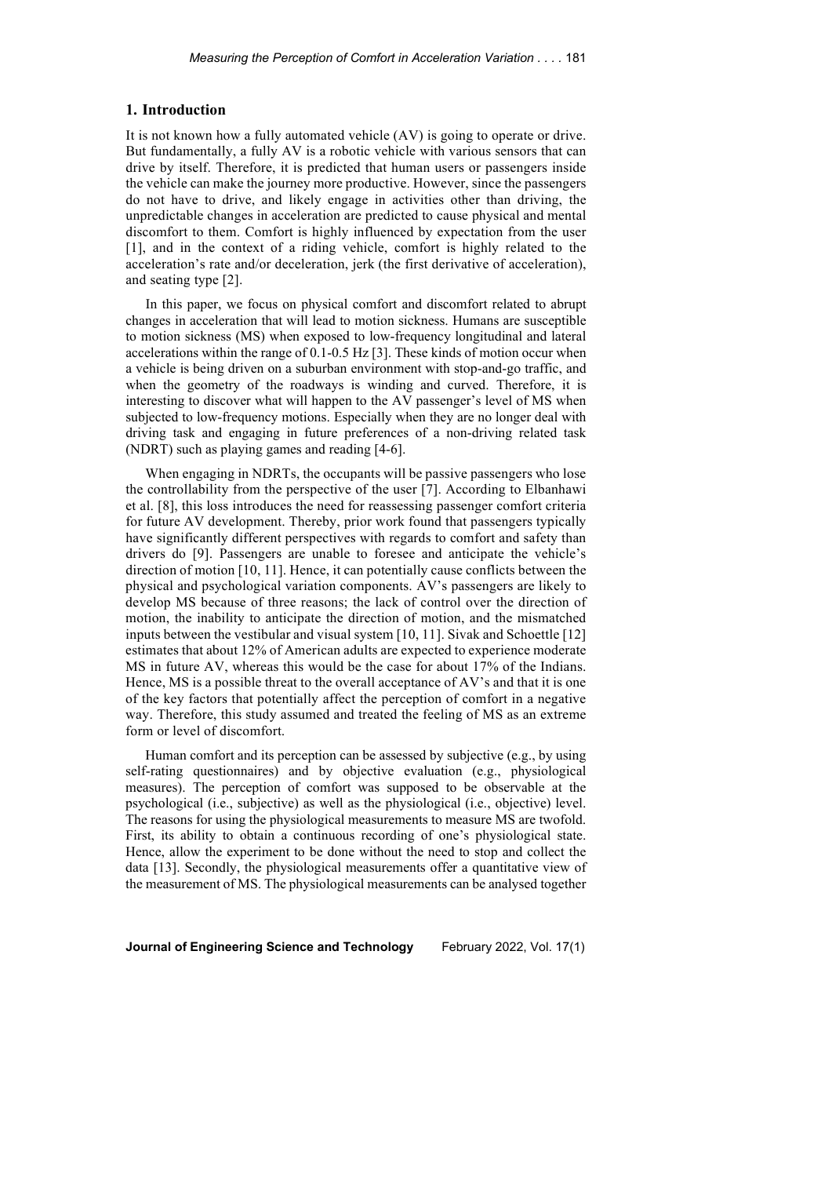#### **1. Introduction**

It is not known how a fully automated vehicle (AV) is going to operate or drive. But fundamentally, a fully AV is a robotic vehicle with various sensors that can drive by itself. Therefore, it is predicted that human users or passengers inside the vehicle can make the journey more productive. However, since the passengers do not have to drive, and likely engage in activities other than driving, the unpredictable changes in acceleration are predicted to cause physical and mental discomfort to them. Comfort is highly influenced by expectation from the user [1], and in the context of a riding vehicle, comfort is highly related to the acceleration's rate and/or deceleration, jerk (the first derivative of acceleration), and seating type [2].

In this paper, we focus on physical comfort and discomfort related to abrupt changes in acceleration that will lead to motion sickness. Humans are susceptible to motion sickness (MS) when exposed to low-frequency longitudinal and lateral accelerations within the range of 0.1-0.5 Hz [3]. These kinds of motion occur when a vehicle is being driven on a suburban environment with stop-and-go traffic, and when the geometry of the roadways is winding and curved. Therefore, it is interesting to discover what will happen to the AV passenger's level of MS when subjected to low-frequency motions. Especially when they are no longer deal with driving task and engaging in future preferences of a non-driving related task (NDRT) such as playing games and reading [4-6].

When engaging in NDRTs, the occupants will be passive passengers who lose the controllability from the perspective of the user [7]. According to Elbanhawi et al. [8], this loss introduces the need for reassessing passenger comfort criteria for future AV development. Thereby, prior work found that passengers typically have significantly different perspectives with regards to comfort and safety than drivers do [9]. Passengers are unable to foresee and anticipate the vehicle's direction of motion [10, 11]. Hence, it can potentially cause conflicts between the physical and psychological variation components. AV's passengers are likely to develop MS because of three reasons; the lack of control over the direction of motion, the inability to anticipate the direction of motion, and the mismatched inputs between the vestibular and visual system [10, 11]. Sivak and Schoettle [12] estimates that about 12% of American adults are expected to experience moderate MS in future AV, whereas this would be the case for about 17% of the Indians. Hence, MS is a possible threat to the overall acceptance of AV's and that it is one of the key factors that potentially affect the perception of comfort in a negative way. Therefore, this study assumed and treated the feeling of MS as an extreme form or level of discomfort.

Human comfort and its perception can be assessed by subjective (e.g., by using self-rating questionnaires) and by objective evaluation (e.g., physiological measures). The perception of comfort was supposed to be observable at the psychological (i.e., subjective) as well as the physiological (i.e., objective) level. The reasons for using the physiological measurements to measure MS are twofold. First, its ability to obtain a continuous recording of one's physiological state. Hence, allow the experiment to be done without the need to stop and collect the data [13]. Secondly, the physiological measurements offer a quantitative view of the measurement of MS. The physiological measurements can be analysed together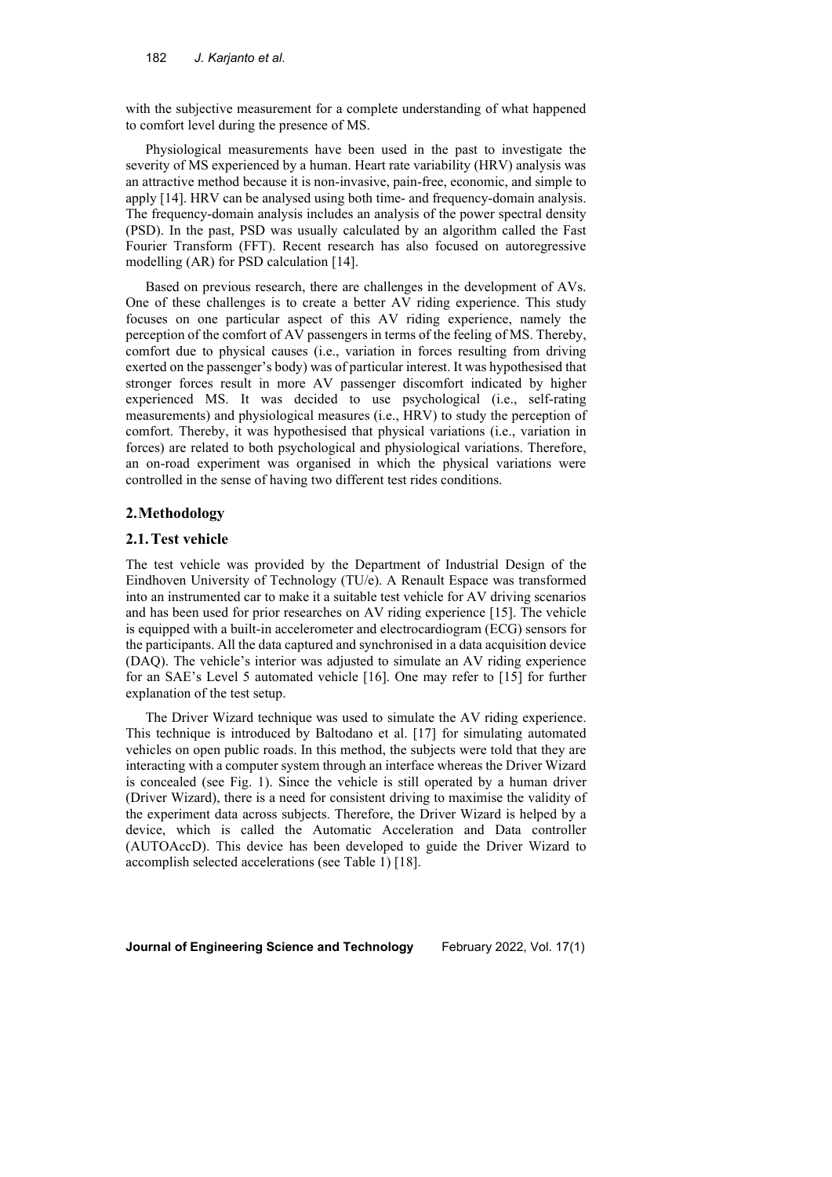with the subjective measurement for a complete understanding of what happened to comfort level during the presence of MS.

Physiological measurements have been used in the past to investigate the severity of MS experienced by a human. Heart rate variability (HRV) analysis was an attractive method because it is non-invasive, pain-free, economic, and simple to apply [14]. HRV can be analysed using both time- and frequency-domain analysis. The frequency-domain analysis includes an analysis of the power spectral density (PSD). In the past, PSD was usually calculated by an algorithm called the Fast Fourier Transform (FFT). Recent research has also focused on autoregressive modelling (AR) for PSD calculation [14].

Based on previous research, there are challenges in the development of AVs. One of these challenges is to create a better AV riding experience. This study focuses on one particular aspect of this AV riding experience, namely the perception of the comfort of AV passengers in terms of the feeling of MS. Thereby, comfort due to physical causes (i.e., variation in forces resulting from driving exerted on the passenger's body) was of particular interest. It was hypothesised that stronger forces result in more AV passenger discomfort indicated by higher experienced MS. It was decided to use psychological (i.e., self-rating measurements) and physiological measures (i.e., HRV) to study the perception of comfort. Thereby, it was hypothesised that physical variations (i.e., variation in forces) are related to both psychological and physiological variations. Therefore, an on-road experiment was organised in which the physical variations were controlled in the sense of having two different test rides conditions.

# **2.Methodology**

#### **2.1.Test vehicle**

The test vehicle was provided by the Department of Industrial Design of the Eindhoven University of Technology (TU/e). A Renault Espace was transformed into an instrumented car to make it a suitable test vehicle for AV driving scenarios and has been used for prior researches on AV riding experience [15]. The vehicle is equipped with a built-in accelerometer and electrocardiogram (ECG) sensors for the participants. All the data captured and synchronised in a data acquisition device (DAQ). The vehicle's interior was adjusted to simulate an AV riding experience for an SAE's Level 5 automated vehicle [16]. One may refer to [15] for further explanation of the test setup.

The Driver Wizard technique was used to simulate the AV riding experience. This technique is introduced by Baltodano et al. [17] for simulating automated vehicles on open public roads. In this method, the subjects were told that they are interacting with a computer system through an interface whereas the Driver Wizard is concealed (see [Fig. 1\)](#page-3-0). Since the vehicle is still operated by a human driver (Driver Wizard), there is a need for consistent driving to maximise the validity of the experiment data across subjects. Therefore, the Driver Wizard is helped by a device, which is called the Automatic Acceleration and Data controller (AUTOAccD). This device has been developed to guide the Driver Wizard to accomplish selected accelerations (see Table 1) [18].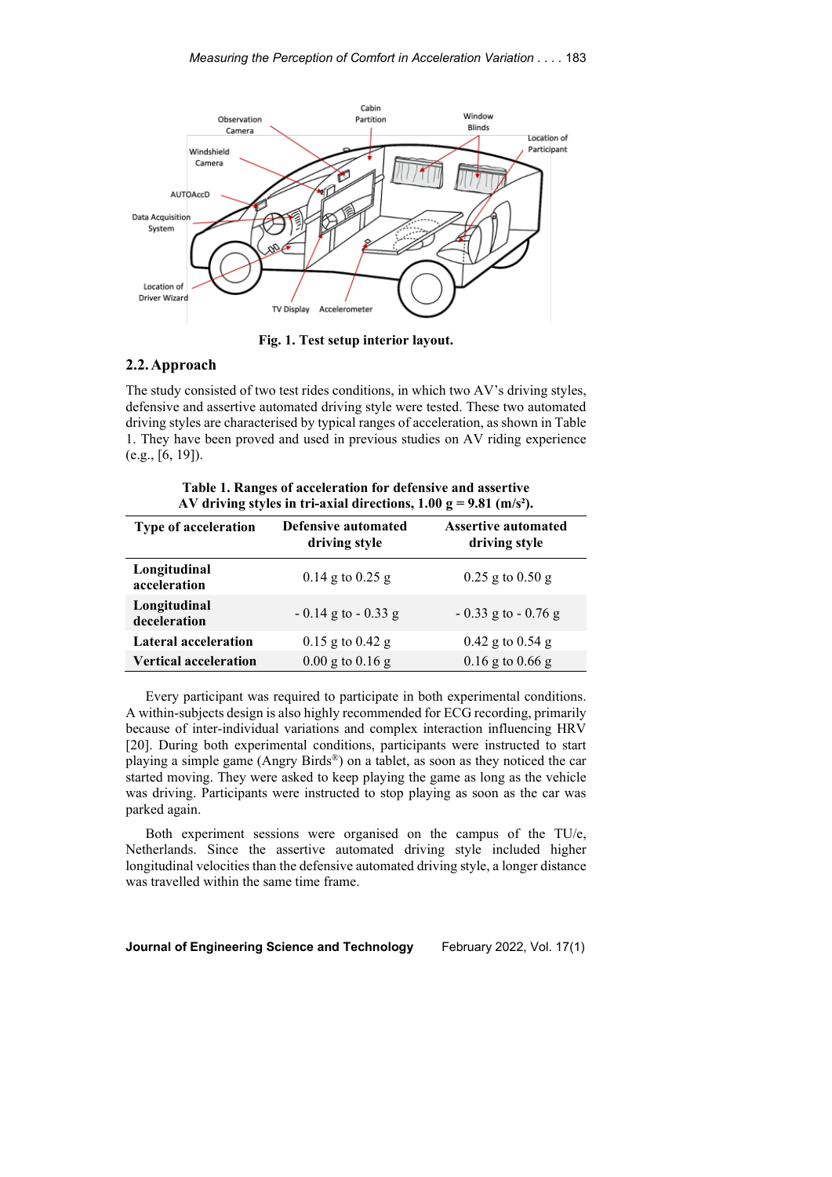

**Fig. 1. Test setup interior layout.**

# <span id="page-3-0"></span>**2.2.Approach**

The study consisted of two test rides conditions, in which two AV's driving styles, defensive and assertive automated driving style were tested. These two automated driving styles are characterised by typical ranges of acceleration, as shown in Table 1. They have been proved and used in previous studies on AV riding experience (e.g., [6, 19]).

**Table 1. Ranges of acceleration for defensive and assertive AV driving styles in tri-axial directions, 1.00 g = 9.81 (m/s²).**

| Type of acceleration         | Defensive automated<br>driving style | <b>Assertive automated</b><br>driving style |
|------------------------------|--------------------------------------|---------------------------------------------|
| Longitudinal<br>acceleration | $0.14$ g to $0.25$ g                 | $0.25$ g to $0.50$ g                        |
| Longitudinal<br>deceleration | $-0.14$ g to $-0.33$ g               | $-0.33$ g to $-0.76$ g                      |
| <b>Lateral acceleration</b>  | $0.15$ g to $0.42$ g                 | $0.42$ g to $0.54$ g                        |
| <b>Vertical acceleration</b> | $0.00$ g to $0.16$ g                 | $0.16$ g to $0.66$ g                        |

Every participant was required to participate in both experimental conditions. A within-subjects design is also highly recommended for ECG recording, primarily because of inter-individual variations and complex interaction influencing HRV [20]. During both experimental conditions, participants were instructed to start playing a simple game (Angry Birds®) on a tablet, as soon as they noticed the car started moving. They were asked to keep playing the game as long as the vehicle was driving. Participants were instructed to stop playing as soon as the car was parked again.

Both experiment sessions were organised on the campus of the TU/e, Netherlands. Since the assertive automated driving style included higher longitudinal velocities than the defensive automated driving style, a longer distance was travelled within the same time frame.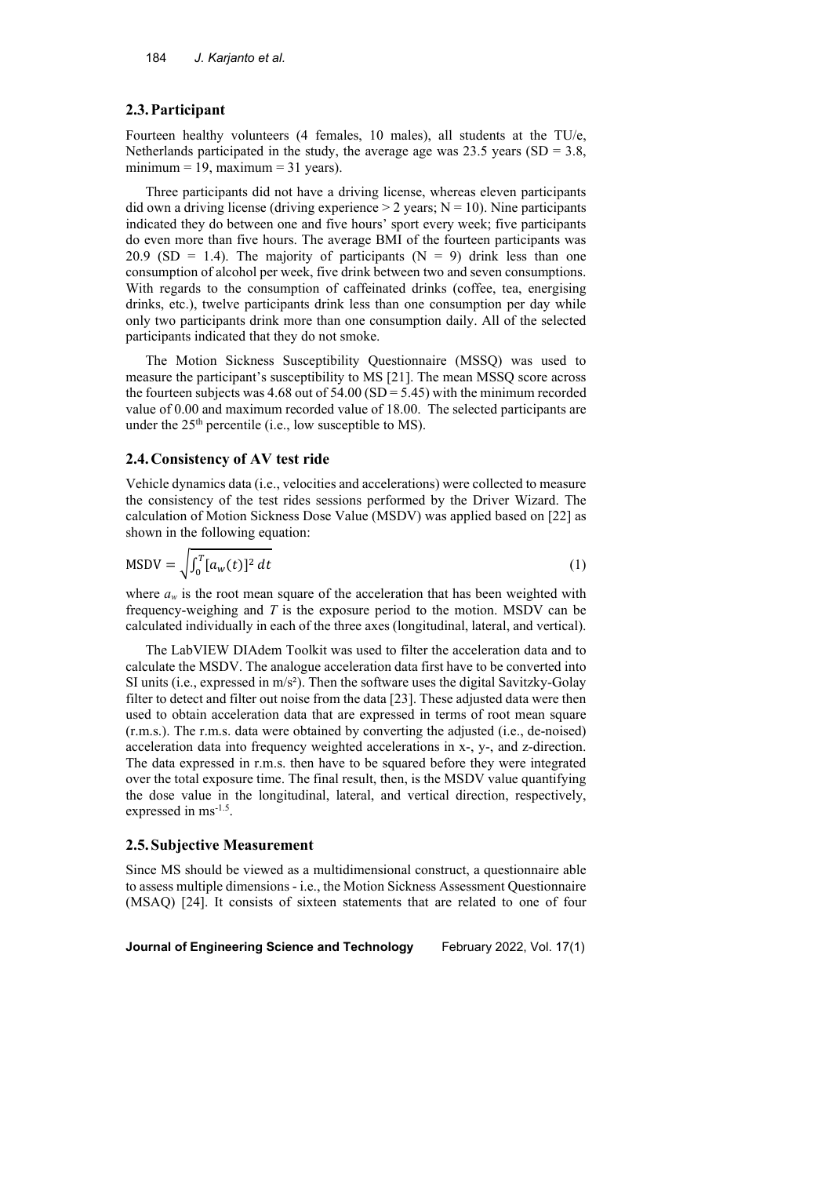#### **2.3.Participant**

Fourteen healthy volunteers (4 females, 10 males), all students at the TU/e, Netherlands participated in the study, the average age was  $23.5$  years (SD = 3.8, minimum = 19, maximum = 31 years).

Three participants did not have a driving license, whereas eleven participants did own a driving license (driving experience  $> 2$  years; N = 10). Nine participants indicated they do between one and five hours' sport every week; five participants do even more than five hours. The average BMI of the fourteen participants was 20.9 (SD = 1.4). The majority of participants ( $N = 9$ ) drink less than one consumption of alcohol per week, five drink between two and seven consumptions. With regards to the consumption of caffeinated drinks (coffee, tea, energising drinks, etc.), twelve participants drink less than one consumption per day while only two participants drink more than one consumption daily. All of the selected participants indicated that they do not smoke.

The Motion Sickness Susceptibility Questionnaire (MSSQ) was used to measure the participant's susceptibility to MS [21]. The mean MSSQ score across the fourteen subjects was  $4.68$  out of  $54.00$  (SD =  $5.45$ ) with the minimum recorded value of 0.00 and maximum recorded value of 18.00. The selected participants are under the  $25<sup>th</sup>$  percentile (i.e., low susceptible to MS).

### **2.4.Consistency of AV test ride**

Vehicle dynamics data (i.e., velocities and accelerations) were collected to measure the consistency of the test rides sessions performed by the Driver Wizard. The calculation of Motion Sickness Dose Value (MSDV) was applied based on [22] as shown in the following equation:

$$
MSDV = \sqrt{\int_0^T [a_w(t)]^2 dt}
$$
 (1)

where  $a_w$  is the root mean square of the acceleration that has been weighted with frequency-weighing and *T* is the exposure period to the motion. MSDV can be calculated individually in each of the three axes (longitudinal, lateral, and vertical).

The LabVIEW DIAdem Toolkit was used to filter the acceleration data and to calculate the MSDV. The analogue acceleration data first have to be converted into SI units (i.e., expressed in  $m/s<sup>2</sup>$ ). Then the software uses the digital Savitzky-Golay filter to detect and filter out noise from the data [23]. These adjusted data were then used to obtain acceleration data that are expressed in terms of root mean square (r.m.s.). The r.m.s. data were obtained by converting the adjusted (i.e., de-noised) acceleration data into frequency weighted accelerations in x-, y-, and z-direction. The data expressed in r.m.s. then have to be squared before they were integrated over the total exposure time. The final result, then, is the MSDV value quantifying the dose value in the longitudinal, lateral, and vertical direction, respectively, expressed in ms<sup>-1.5</sup>.

#### **2.5.Subjective Measurement**

Since MS should be viewed as a multidimensional construct, a questionnaire able to assess multiple dimensions - i.e., the Motion Sickness Assessment Questionnaire (MSAQ) [24]. It consists of sixteen statements that are related to one of four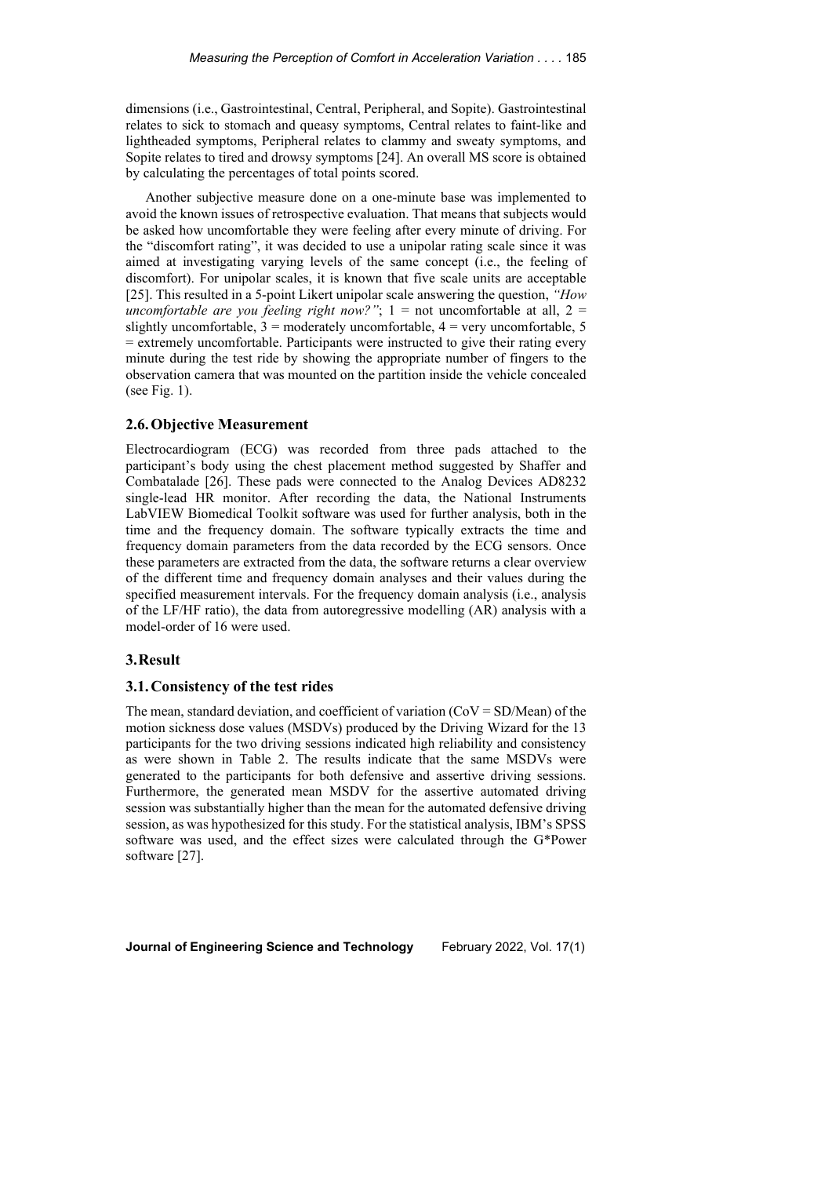dimensions (i.e., Gastrointestinal, Central, Peripheral, and Sopite). Gastrointestinal relates to sick to stomach and queasy symptoms, Central relates to faint-like and lightheaded symptoms, Peripheral relates to clammy and sweaty symptoms, and Sopite relates to tired and drowsy symptoms [24]. An overall MS score is obtained by calculating the percentages of total points scored.

Another subjective measure done on a one-minute base was implemented to avoid the known issues of retrospective evaluation. That means that subjects would be asked how uncomfortable they were feeling after every minute of driving. For the "discomfort rating", it was decided to use a unipolar rating scale since it was aimed at investigating varying levels of the same concept (i.e., the feeling of discomfort). For unipolar scales, it is known that five scale units are acceptable [25]. This resulted in a 5-point Likert unipolar scale answering the question, *"How uncomfortable are you feeling right now?"*;  $1 =$  not uncomfortable at all,  $2 =$ slightly uncomfortable,  $3 =$  moderately uncomfortable,  $4 =$  very uncomfortable,  $5 =$ = extremely uncomfortable. Participants were instructed to give their rating every minute during the test ride by showing the appropriate number of fingers to the observation camera that was mounted on the partition inside the vehicle concealed (see Fig. 1).

# **2.6.Objective Measurement**

Electrocardiogram (ECG) was recorded from three pads attached to the participant's body using the chest placement method suggested by Shaffer and Combatalade [26]. These pads were connected to the Analog Devices AD8232 single-lead HR monitor. After recording the data, the National Instruments LabVIEW Biomedical Toolkit software was used for further analysis, both in the time and the frequency domain. The software typically extracts the time and frequency domain parameters from the data recorded by the ECG sensors. Once these parameters are extracted from the data, the software returns a clear overview of the different time and frequency domain analyses and their values during the specified measurement intervals. For the frequency domain analysis (i.e., analysis of the LF/HF ratio), the data from autoregressive modelling (AR) analysis with a model-order of 16 were used.

### **3.Result**

## **3.1.Consistency of the test rides**

The mean, standard deviation, and coefficient of variation  $(CoV = SD/Mean)$  of the motion sickness dose values (MSDVs) produced by the Driving Wizard for the 13 participants for the two driving sessions indicated high reliability and consistency as were shown in Table 2. The results indicate that the same MSDVs were generated to the participants for both defensive and assertive driving sessions. Furthermore, the generated mean MSDV for the assertive automated driving session was substantially higher than the mean for the automated defensive driving session, as was hypothesized for this study. For the statistical analysis, IBM's SPSS software was used, and the effect sizes were calculated through the G\*Power software [27].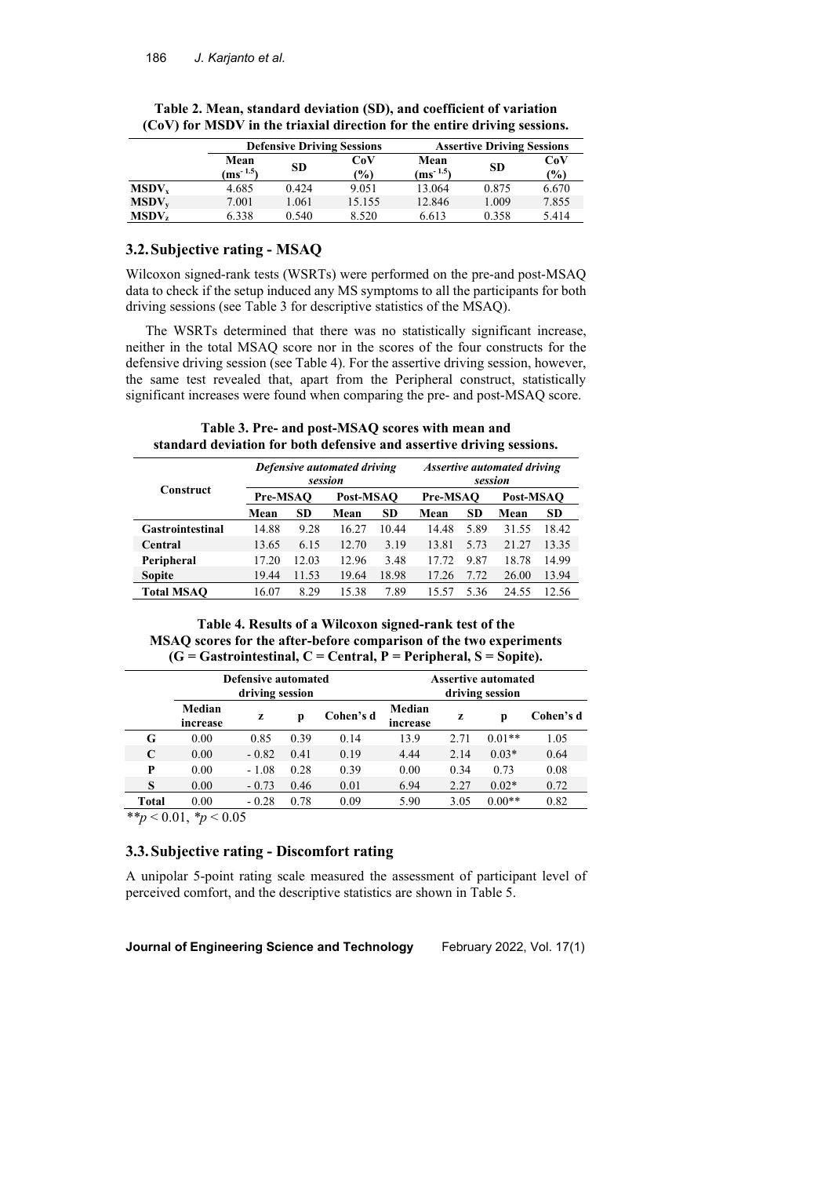|                   |                       |       | <b>Defensive Driving Sessions</b> | <b>Assertive Driving Sessions</b> |           |            |
|-------------------|-----------------------|-------|-----------------------------------|-----------------------------------|-----------|------------|
|                   | Mean<br>$(ms^{-1.5})$ | SD    | CoV<br>(%)                        | Mean<br>$(m s^{-1.5})$            | <b>SD</b> | CoV<br>(%) |
| MSDV <sub>y</sub> | 4.685                 | 0.424 | 9.051                             | 13.064                            | 0.875     | 6.670      |
| $MSDV_v$          | 7.001                 | 1.061 | 15.155                            | 12.846                            | 1.009     | 7.855      |
| MSDV <sub>z</sub> | 6.338                 | 0.540 | 8.520                             | 6.613                             | 0.358     | 5.414      |

**Table 2. Mean, standard deviation (SD), and coefficient of variation (CoV) for MSDV in the triaxial direction for the entire driving sessions.**

# **3.2.Subjective rating - MSAQ**

Wilcoxon signed-rank tests (WSRTs) were performed on the pre-and post-MSAQ data to check if the setup induced any MS symptoms to all the participants for both driving sessions (see Table 3 for descriptive statistics of the MSAQ).

The WSRTs determined that there was no statistically significant increase, neither in the total MSAQ score nor in the scores of the four constructs for the defensive driving session (see Table 4). For the assertive driving session, however, the same test revealed that, apart from the Peripheral construct, statistically significant increases were found when comparing the pre- and post-MSAQ score.

**Construct** *Defensive automated driving session Assertive automated driving session* **Pre-MSAQ Post-MSAQ Pre-MSAQ Post-MSAQ Mean SD Mean SD Mean SD Mean SD Gastrointestinal** 14.88 9.28 16.27 10.44 14.48 5.89 31.55 18.42 **Central** 13.65 6.15 12.70 3.19 13.81 5.73 21.27 13.35 **Peripheral** 17.20 12.03 12.96 3.48 17.72 9.87 18.78 14.99 **Sopite** 19.44 11.53 19.64 18.98 17.26 7.72 26.00 13.94

**Table 3. Pre- and post-MSAQ scores with mean and standard deviation for both defensive and assertive driving sessions.**

## **Table 4. Results of a Wilcoxon signed-rank test of the MSAQ scores for the after-before comparison of the two experiments (G = Gastrointestinal, C = Central, P = Peripheral, S = Sopite).**

**Total MSAQ** 16.07 8.29 15.38 7.89 15.57 5.36 24.55 12.56

|       | <b>Defensive automated</b><br>driving session |         |      | <b>Assertive automated</b><br>driving session |                    |      |          |           |
|-------|-----------------------------------------------|---------|------|-----------------------------------------------|--------------------|------|----------|-----------|
|       | Median<br>increase                            | z       | p    | Cohen's d                                     | Median<br>increase | Z    | р        | Cohen's d |
| G     | 0.00                                          | 0.85    | 0.39 | 0.14                                          | 13.9               | 2.71 | $0.01**$ | 1.05      |
| C     | 0.00                                          | $-0.82$ | 0.41 | 0.19                                          | 4.44               | 2.14 | $0.03*$  | 0.64      |
| P     | 0.00                                          | $-1.08$ | 0.28 | 0.39                                          | 0.00               | 0.34 | 0.73     | 0.08      |
| S     | 0.00                                          | $-0.73$ | 0.46 | 0.01                                          | 6.94               | 2.27 | $0.02*$  | 0.72      |
| Total | 0.00                                          | $-0.28$ | 0.78 | 0.09                                          | 5.90               | 3.05 | $0.00**$ | 0.82      |

 $*$ *\*p* < 0.01, *\*p* < 0.05

# **3.3.Subjective rating - Discomfort rating**

A unipolar 5-point rating scale measured the assessment of participant level of perceived comfort, and the descriptive statistics are shown in Table 5.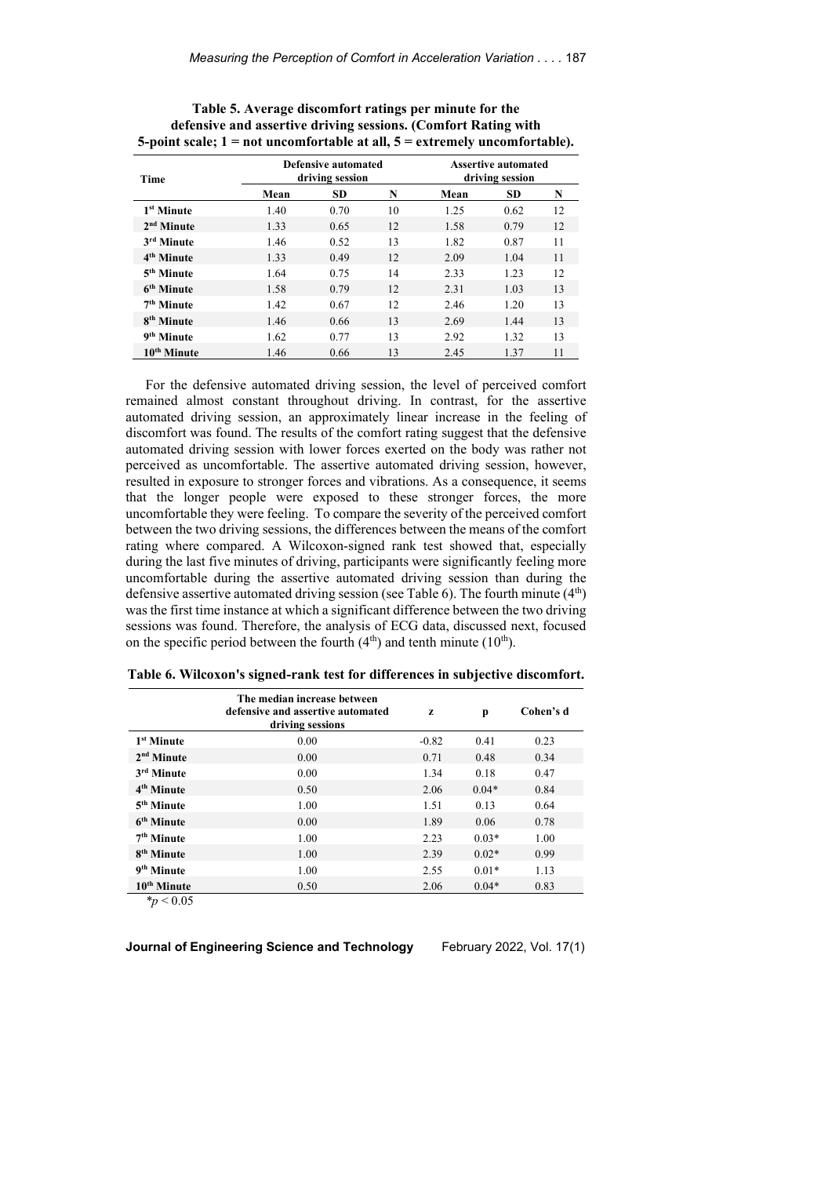| <b>Time</b>             |      | Defensive automated<br>driving session | <b>Assertive automated</b><br>driving session |      |           |    |
|-------------------------|------|----------------------------------------|-----------------------------------------------|------|-----------|----|
|                         | Mean | <b>SD</b>                              | N                                             | Mean | <b>SD</b> | N  |
| 1 <sup>st</sup> Minute  | 1.40 | 0.70                                   | 10                                            | 1.25 | 0.62      | 12 |
| 2 <sup>nd</sup> Minute  | 1.33 | 0.65                                   | 12                                            | 1.58 | 0.79      | 12 |
| 3 <sup>rd</sup> Minute  | 1.46 | 0.52                                   | 13                                            | 1.82 | 0.87      | 11 |
| 4 <sup>th</sup> Minute  | 1.33 | 0.49                                   | 12                                            | 2.09 | 1.04      | 11 |
| 5 <sup>th</sup> Minute  | 1.64 | 0.75                                   | 14                                            | 2.33 | 1.23      | 12 |
| 6 <sup>th</sup> Minute  | 1.58 | 0.79                                   | 12                                            | 2.31 | 1.03      | 13 |
| 7 <sup>th</sup> Minute  | 1.42 | 0.67                                   | 12                                            | 2.46 | 1.20      | 13 |
| 8 <sup>th</sup> Minute  | 1.46 | 0.66                                   | 13                                            | 2.69 | 1.44      | 13 |
| 9 <sup>th</sup> Minute  | 1.62 | 0.77                                   | 13                                            | 2.92 | 1.32      | 13 |
| 10 <sup>th</sup> Minute | 1.46 | 0.66                                   | 13                                            | 2.45 | 1.37      | 11 |

**Table 5. Average discomfort ratings per minute for the defensive and assertive driving sessions. (Comfort Rating with 5-point scale; 1 = not uncomfortable at all, 5 = extremely uncomfortable).**

For the defensive automated driving session, the level of perceived comfort remained almost constant throughout driving. In contrast, for the assertive automated driving session, an approximately linear increase in the feeling of discomfort was found. The results of the comfort rating suggest that the defensive automated driving session with lower forces exerted on the body was rather not perceived as uncomfortable. The assertive automated driving session, however, resulted in exposure to stronger forces and vibrations. As a consequence, it seems that the longer people were exposed to these stronger forces, the more uncomfortable they were feeling. To compare the severity of the perceived comfort between the two driving sessions, the differences between the means of the comfort rating where compared. A Wilcoxon-signed rank test showed that, especially during the last five minutes of driving, participants were significantly feeling more uncomfortable during the assertive automated driving session than during the defensive assertive automated driving session (see Table 6). The fourth minute (4<sup>th</sup>) was the first time instance at which a significant difference between the two driving sessions was found. Therefore, the analysis of ECG data, discussed next, focused on the specific period between the fourth  $(4<sup>th</sup>)$  and tenth minute  $(10<sup>th</sup>)$ .

|                                                                                | The median increase between<br>defensive and assertive automated<br>driving sessions | z       | p       | Cohen's d |
|--------------------------------------------------------------------------------|--------------------------------------------------------------------------------------|---------|---------|-----------|
| 1 <sup>st</sup> Minute                                                         | 0.00                                                                                 | $-0.82$ | 0.41    | 0.23      |
| 2 <sup>nd</sup> Minute                                                         | 0.00                                                                                 | 0.71    | 0.48    | 0.34      |
| 3 <sup>rd</sup> Minute                                                         | 0.00                                                                                 | 1.34    | 0.18    | 0.47      |
| 4 <sup>th</sup> Minute                                                         | 0.50                                                                                 | 2.06    | $0.04*$ | 0.84      |
| 5 <sup>th</sup> Minute                                                         | 1.00                                                                                 | 1.51    | 0.13    | 0.64      |
| 6 <sup>th</sup> Minute                                                         | 0.00                                                                                 | 1.89    | 0.06    | 0.78      |
| 7 <sup>th</sup> Minute                                                         | 1.00                                                                                 | 2.23    | $0.03*$ | 1.00      |
| 8 <sup>th</sup> Minute                                                         | 1.00                                                                                 | 2.39    | $0.02*$ | 0.99      |
| 9 <sup>th</sup> Minute                                                         | 1.00                                                                                 | 2.55    | $0.01*$ | 1.13      |
| 10 <sup>th</sup> Minute<br>$\mathbf{a}$ $\mathbf{a}$ $\mathbf{b}$ $\mathbf{c}$ | 0.50                                                                                 | 2.06    | $0.04*$ | 0.83      |

**Table 6. Wilcoxon's signed-rank test for differences in subjective discomfort.**

*\*p* < 0.05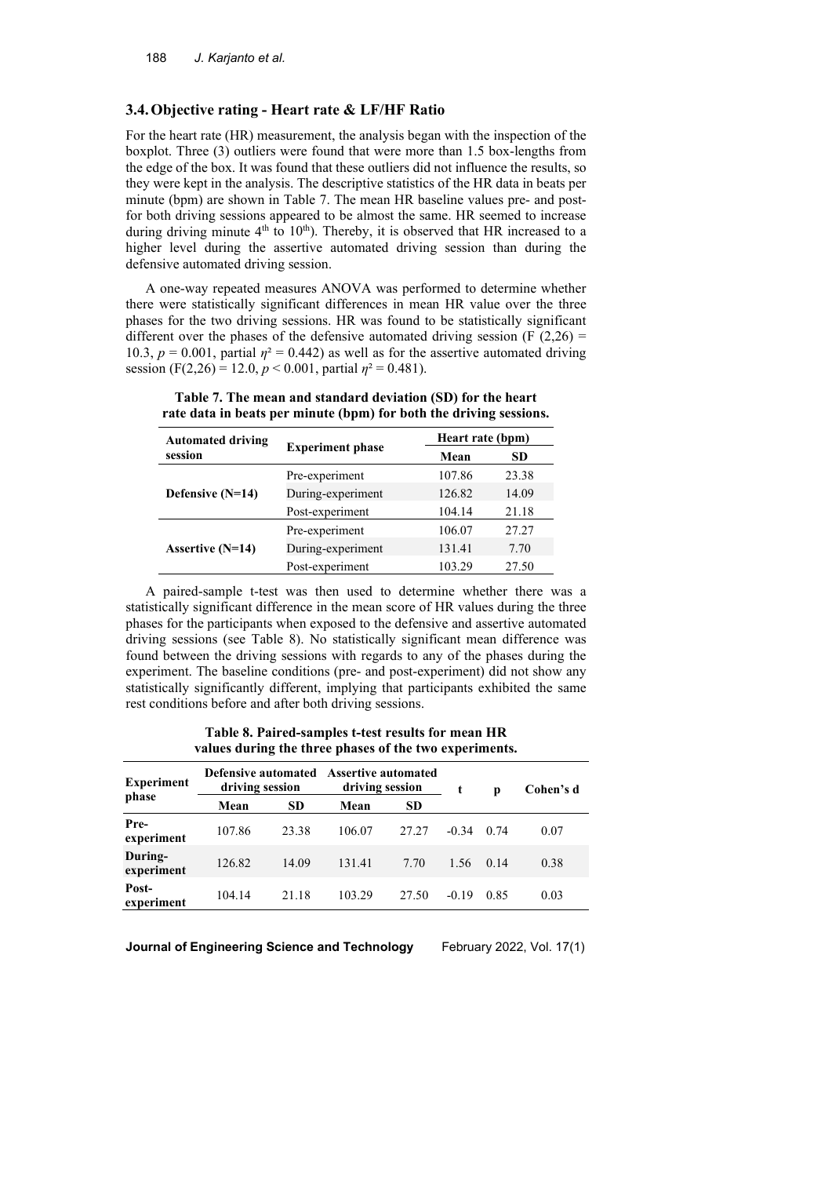## **3.4.Objective rating - Heart rate & LF/HF Ratio**

For the heart rate (HR) measurement, the analysis began with the inspection of the boxplot. Three (3) outliers were found that were more than 1.5 box-lengths from the edge of the box. It was found that these outliers did not influence the results, so they were kept in the analysis. The descriptive statistics of the HR data in beats per minute (bpm) are shown in Table 7. The mean HR baseline values pre- and postfor both driving sessions appeared to be almost the same. HR seemed to increase during driving minute  $4<sup>th</sup>$  to  $10<sup>th</sup>$ ). Thereby, it is observed that HR increased to a higher level during the assertive automated driving session than during the defensive automated driving session.

A one-way repeated measures ANOVA was performed to determine whether there were statistically significant differences in mean HR value over the three phases for the two driving sessions. HR was found to be statistically significant different over the phases of the defensive automated driving session (F  $(2,26)$ ) = 10.3,  $p = 0.001$ , partial  $\eta^2 = 0.442$ ) as well as for the assertive automated driving session (F(2,26) = 12.0,  $p < 0.001$ , partial  $\eta^2 = 0.481$ ).

| <b>Automated driving</b> |                         |        | Heart rate (bpm) |  |  |  |  |
|--------------------------|-------------------------|--------|------------------|--|--|--|--|
| session                  | <b>Experiment phase</b> | Mean   | <b>SD</b>        |  |  |  |  |
|                          | Pre-experiment          | 107.86 | 23.38            |  |  |  |  |
| Defensive $(N=14)$       | During-experiment       | 126.82 | 14.09            |  |  |  |  |
|                          | Post-experiment         | 104.14 | 21.18            |  |  |  |  |
|                          | Pre-experiment          | 106.07 | 27.27            |  |  |  |  |
| Assertive $(N=14)$       | During-experiment       | 131.41 | 7.70             |  |  |  |  |
|                          | Post-experiment         | 103.29 | 27.50            |  |  |  |  |
|                          |                         |        |                  |  |  |  |  |

**Table 7. The mean and standard deviation (SD) for the heart rate data in beats per minute (bpm) for both the driving sessions.**

A paired-sample t-test was then used to determine whether there was a statistically significant difference in the mean score of HR values during the three phases for the participants when exposed to the defensive and assertive automated driving sessions (see Table 8). No statistically significant mean difference was found between the driving sessions with regards to any of the phases during the experiment. The baseline conditions (pre- and post-experiment) did not show any statistically significantly different, implying that participants exhibited the same rest conditions before and after both driving sessions.

**Table 8. Paired-samples t-test results for mean HR values during the three phases of the two experiments.**

| <b>Experiment</b>     | Defensive automated Assertive automated<br>driving session |           | driving session |           | t                 | p    | Cohen's d |
|-----------------------|------------------------------------------------------------|-----------|-----------------|-----------|-------------------|------|-----------|
| phase                 | Mean                                                       | <b>SD</b> | Mean            | <b>SD</b> |                   |      |           |
| Pre-<br>experiment    | 107.86                                                     | 23.38     | 106.07          | 27.27     | $-0.34$           | 0.74 | 0.07      |
| During-<br>experiment | 126.82                                                     | 14.09     | 131.41          | 7.70      | $1.56 \quad 0.14$ |      | 0.38      |
| Post-<br>experiment   | 104.14                                                     | 21.18     | 103.29          | 27.50     | $-0.19$           | 0.85 | 0.03      |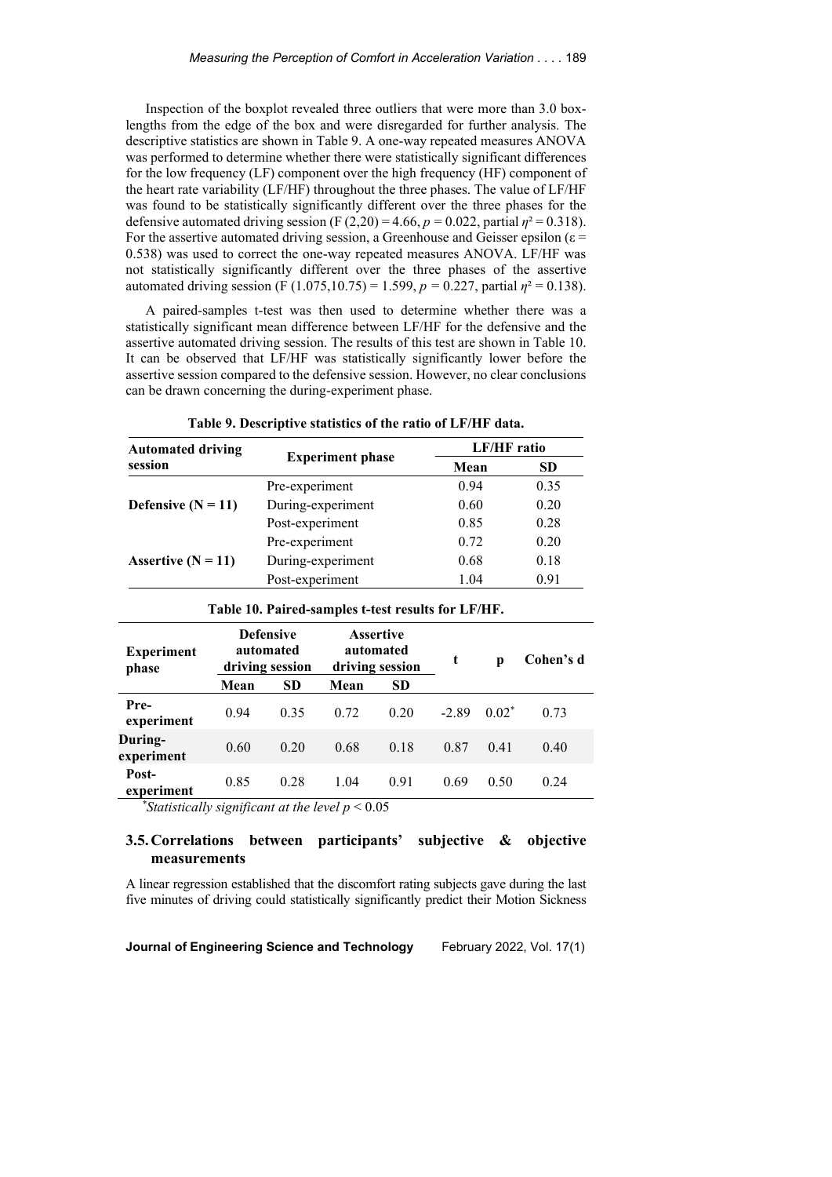Inspection of the boxplot revealed three outliers that were more than 3.0 boxlengths from the edge of the box and were disregarded for further analysis. The descriptive statistics are shown in Table 9. A one-way repeated measures ANOVA was performed to determine whether there were statistically significant differences for the low frequency (LF) component over the high frequency (HF) component of the heart rate variability (LF/HF) throughout the three phases. The value of LF/HF was found to be statistically significantly different over the three phases for the defensive automated driving session (F  $(2,20) = 4.66$ ,  $p = 0.022$ , partial  $\eta^2 = 0.318$ ). For the assertive automated driving session, a Greenhouse and Geisser epsilon ( $\varepsilon$  = 0.538) was used to correct the one-way repeated measures ANOVA. LF/HF was not statistically significantly different over the three phases of the assertive automated driving session (F (1.075,10.75) = 1.599,  $p = 0.227$ , partial  $\eta^2 = 0.138$ ).

A paired-samples t-test was then used to determine whether there was a statistically significant mean difference between LF/HF for the defensive and the assertive automated driving session. The results of this test are shown in Table 10. It can be observed that LF/HF was statistically significantly lower before the assertive session compared to the defensive session. However, no clear conclusions can be drawn concerning the during-experiment phase.

| <b>Automated driving</b> |                         | <b>LF/HF</b> ratio |           |  |
|--------------------------|-------------------------|--------------------|-----------|--|
| session                  | <b>Experiment phase</b> | Mean               | <b>SD</b> |  |
|                          | Pre-experiment          | 0.94               | 0.35      |  |
| Defensive $(N = 11)$     | During-experiment       | 0.60               | 0.20      |  |
|                          | Post-experiment         | 0.85               | 0.28      |  |
| Assertive $(N = 11)$     | Pre-experiment          | 0.72               | 0.20      |  |
|                          | During-experiment       | 0.68               | 0.18      |  |
|                          | Post-experiment         | 1.04               | 0.91      |  |

**Table 9. Descriptive statistics of the ratio of LF/HF data.**

| <b>Experiment</b><br>phase | <b>Defensive</b><br>automated<br>driving session |           | <b>Assertive</b><br>automated<br>driving session |           | t       | р        | Cohen's d |
|----------------------------|--------------------------------------------------|-----------|--------------------------------------------------|-----------|---------|----------|-----------|
|                            | Mean                                             | <b>SD</b> | Mean                                             | <b>SD</b> |         |          |           |
| Pre-<br>experiment         | 0.94                                             | 0.35      | 0.72                                             | 0.20      | $-2.89$ | $0.02^*$ | 0.73      |
| During-<br>experiment      | 0.60                                             | 0.20      | 0.68                                             | 0.18      | 0.87    | 0.41     | 0.40      |
| Post-<br>experiment        | 0.85                                             | 0.28      | 1.04                                             | 0.91      | 0.69    | 0.50     | 0.24      |

**Table 10. Paired-samples t-test results for LF/HF.**

*\* Statistically significant at the level p* < 0.05

# **3.5.Correlations between participants' subjective & objective measurements**

A linear regression established that the discomfort rating subjects gave during the last five minutes of driving could statistically significantly predict their Motion Sickness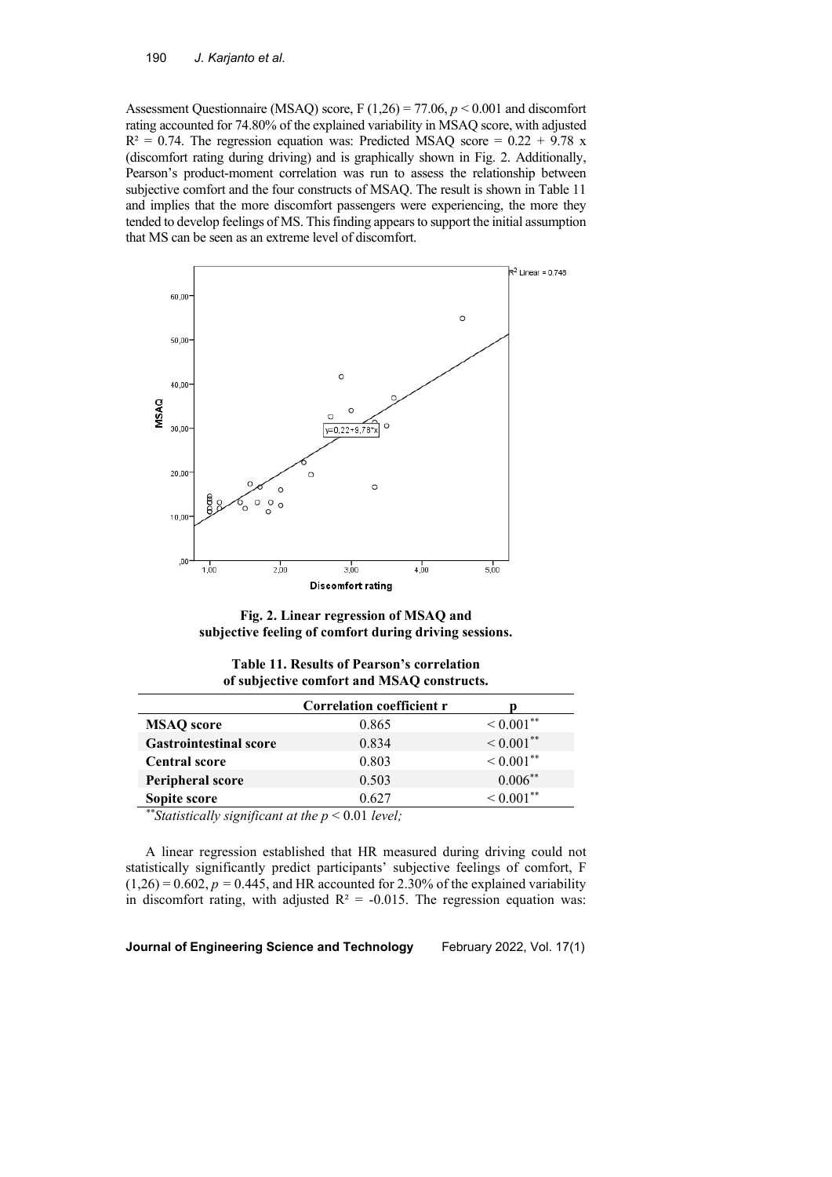Assessment Questionnaire (MSAQ) score, F (1,26) = 77.06, *p* < 0.001 and discomfort rating accounted for 74.80% of the explained variability in MSAQ score, with adjusted  $R<sup>2</sup> = 0.74$ . The regression equation was: Predicted MSAQ score = 0.22 + 9.78 x (discomfort rating during driving) and is graphically shown in Fig. 2. Additionally, Pearson's product-moment correlation was run to assess the relationship between subjective comfort and the four constructs of MSAQ. The result is shown in Table 11 and implies that the more discomfort passengers were experiencing, the more they tended to develop feelings of MS. This finding appears to support the initial assumption that MS can be seen as an extreme level of discomfort.



**Fig. 2. Linear regression of MSAQ and subjective feeling of comfort during driving sessions.**

|  | <b>Table 11. Results of Pearson's correlation</b> |
|--|---------------------------------------------------|
|  | of subjective comfort and MSAQ constructs.        |

|                                                      | Correlation coefficient r |                   |  |  |  |  |
|------------------------------------------------------|---------------------------|-------------------|--|--|--|--|
| <b>MSAO</b> score                                    | 0.865                     | $\leq 0.001^{**}$ |  |  |  |  |
| <b>Gastrointestinal score</b>                        | 0.834                     | $\leq 0.001^{**}$ |  |  |  |  |
| <b>Central score</b>                                 | 0.803                     | $< 0.001$ **      |  |  |  |  |
| Peripheral score                                     | 0.503                     | $0.006***$        |  |  |  |  |
| Sopite score                                         | 0.627                     | $< 0.001$ **      |  |  |  |  |
| **Statistically significant at the $p < 0.01$ level; |                           |                   |  |  |  |  |

A linear regression established that HR measured during driving could not

statistically significantly predict participants' subjective feelings of comfort, F  $(1,26) = 0.602$ ,  $p = 0.445$ , and HR accounted for 2.30% of the explained variability in discomfort rating, with adjusted  $R^2 = -0.015$ . The regression equation was: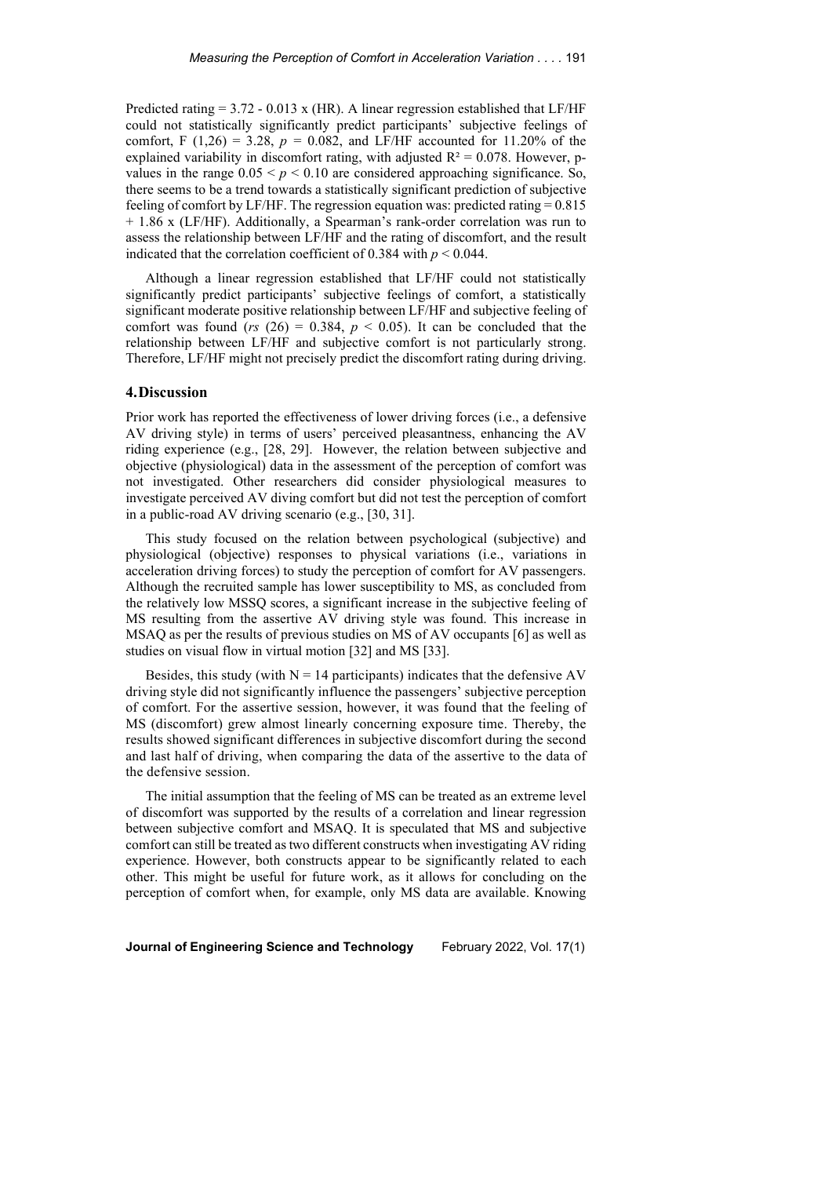Predicted rating  $= 3.72 - 0.013$  x (HR). A linear regression established that LF/HF could not statistically significantly predict participants' subjective feelings of comfort, F (1,26) = 3.28,  $p = 0.082$ , and LF/HF accounted for 11.20% of the explained variability in discomfort rating, with adjusted  $R^2 = 0.078$ . However, pvalues in the range  $0.05 < p < 0.10$  are considered approaching significance. So, there seems to be a trend towards a statistically significant prediction of subjective feeling of comfort by LF/HF. The regression equation was: predicted rating = 0.815 + 1.86 x (LF/HF). Additionally, a Spearman's rank-order correlation was run to assess the relationship between LF/HF and the rating of discomfort, and the result indicated that the correlation coefficient of 0.384 with  $p < 0.044$ .

Although a linear regression established that LF/HF could not statistically significantly predict participants' subjective feelings of comfort, a statistically significant moderate positive relationship between LF/HF and subjective feeling of comfort was found ( $rs$  (26) = 0.384,  $p < 0.05$ ). It can be concluded that the relationship between LF/HF and subjective comfort is not particularly strong. Therefore, LF/HF might not precisely predict the discomfort rating during driving.

# **4.Discussion**

Prior work has reported the effectiveness of lower driving forces (i.e., a defensive AV driving style) in terms of users' perceived pleasantness, enhancing the AV riding experience (e.g., [28, 29]. However, the relation between subjective and objective (physiological) data in the assessment of the perception of comfort was not investigated. Other researchers did consider physiological measures to investigate perceived AV diving comfort but did not test the perception of comfort in a public-road AV driving scenario (e.g., [30, 31].

This study focused on the relation between psychological (subjective) and physiological (objective) responses to physical variations (i.e., variations in acceleration driving forces) to study the perception of comfort for AV passengers. Although the recruited sample has lower susceptibility to MS, as concluded from the relatively low MSSQ scores, a significant increase in the subjective feeling of MS resulting from the assertive AV driving style was found. This increase in MSAQ as per the results of previous studies on MS of AV occupants [6] as well as studies on visual flow in virtual motion [32] and MS [33].

Besides, this study (with  $N = 14$  participants) indicates that the defensive AV driving style did not significantly influence the passengers' subjective perception of comfort. For the assertive session, however, it was found that the feeling of MS (discomfort) grew almost linearly concerning exposure time. Thereby, the results showed significant differences in subjective discomfort during the second and last half of driving, when comparing the data of the assertive to the data of the defensive session.

The initial assumption that the feeling of MS can be treated as an extreme level of discomfort was supported by the results of a correlation and linear regression between subjective comfort and MSAQ. It is speculated that MS and subjective comfort can still be treated as two different constructs when investigating AV riding experience. However, both constructs appear to be significantly related to each other. This might be useful for future work, as it allows for concluding on the perception of comfort when, for example, only MS data are available. Knowing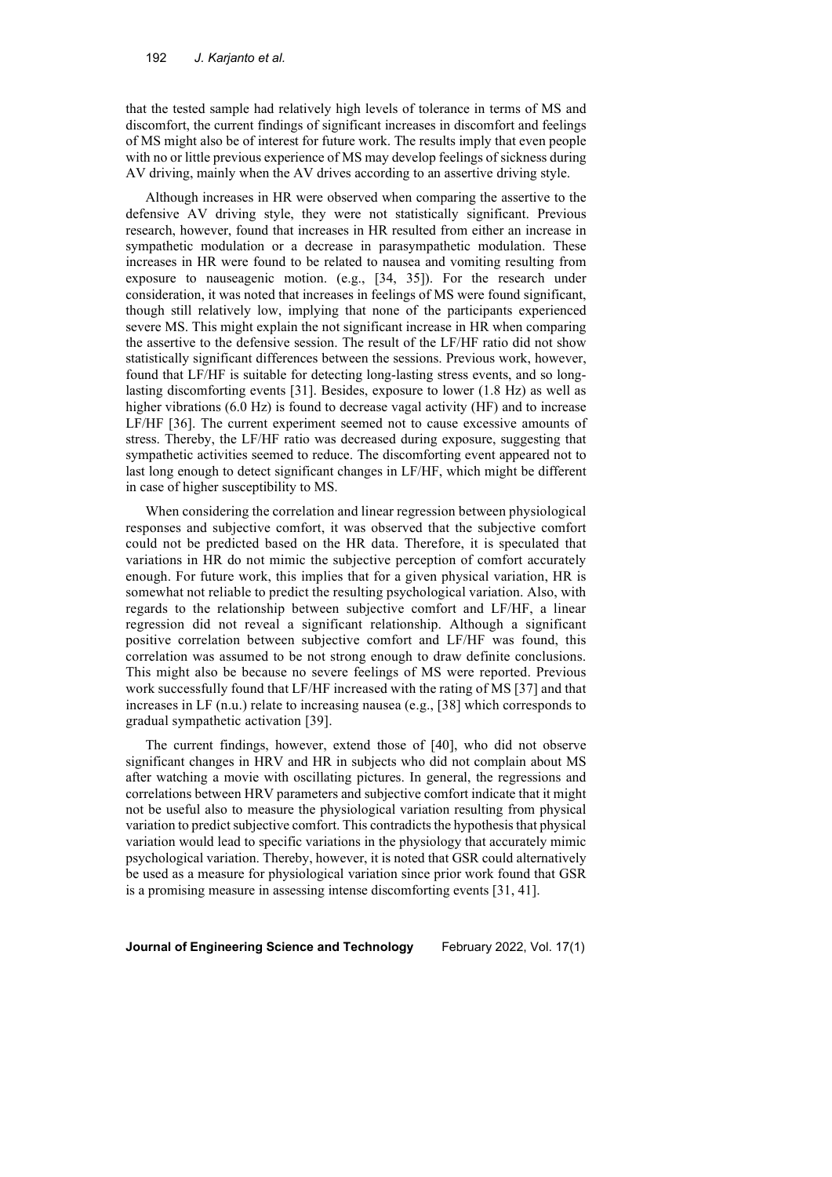that the tested sample had relatively high levels of tolerance in terms of MS and discomfort, the current findings of significant increases in discomfort and feelings of MS might also be of interest for future work. The results imply that even people with no or little previous experience of MS may develop feelings of sickness during AV driving, mainly when the AV drives according to an assertive driving style.

Although increases in HR were observed when comparing the assertive to the defensive AV driving style, they were not statistically significant. Previous research, however, found that increases in HR resulted from either an increase in sympathetic modulation or a decrease in parasympathetic modulation. These increases in HR were found to be related to nausea and vomiting resulting from exposure to nauseagenic motion. (e.g., [34, 35]). For the research under consideration, it was noted that increases in feelings of MS were found significant, though still relatively low, implying that none of the participants experienced severe MS. This might explain the not significant increase in HR when comparing the assertive to the defensive session. The result of the LF/HF ratio did not show statistically significant differences between the sessions. Previous work, however, found that LF/HF is suitable for detecting long-lasting stress events, and so longlasting discomforting events [31]. Besides, exposure to lower (1.8 Hz) as well as higher vibrations (6.0 Hz) is found to decrease vagal activity (HF) and to increase LF/HF [36]. The current experiment seemed not to cause excessive amounts of stress. Thereby, the LF/HF ratio was decreased during exposure, suggesting that sympathetic activities seemed to reduce. The discomforting event appeared not to last long enough to detect significant changes in LF/HF, which might be different in case of higher susceptibility to MS.

When considering the correlation and linear regression between physiological responses and subjective comfort, it was observed that the subjective comfort could not be predicted based on the HR data. Therefore, it is speculated that variations in HR do not mimic the subjective perception of comfort accurately enough. For future work, this implies that for a given physical variation, HR is somewhat not reliable to predict the resulting psychological variation. Also, with regards to the relationship between subjective comfort and LF/HF, a linear regression did not reveal a significant relationship. Although a significant positive correlation between subjective comfort and LF/HF was found, this correlation was assumed to be not strong enough to draw definite conclusions. This might also be because no severe feelings of MS were reported. Previous work successfully found that LF/HF increased with the rating of MS [37] and that increases in LF (n.u.) relate to increasing nausea (e.g., [38] which corresponds to gradual sympathetic activation [39].

The current findings, however, extend those of [40], who did not observe significant changes in HRV and HR in subjects who did not complain about MS after watching a movie with oscillating pictures. In general, the regressions and correlations between HRV parameters and subjective comfort indicate that it might not be useful also to measure the physiological variation resulting from physical variation to predict subjective comfort. This contradicts the hypothesis that physical variation would lead to specific variations in the physiology that accurately mimic psychological variation. Thereby, however, it is noted that GSR could alternatively be used as a measure for physiological variation since prior work found that GSR is a promising measure in assessing intense discomforting events [31, 41].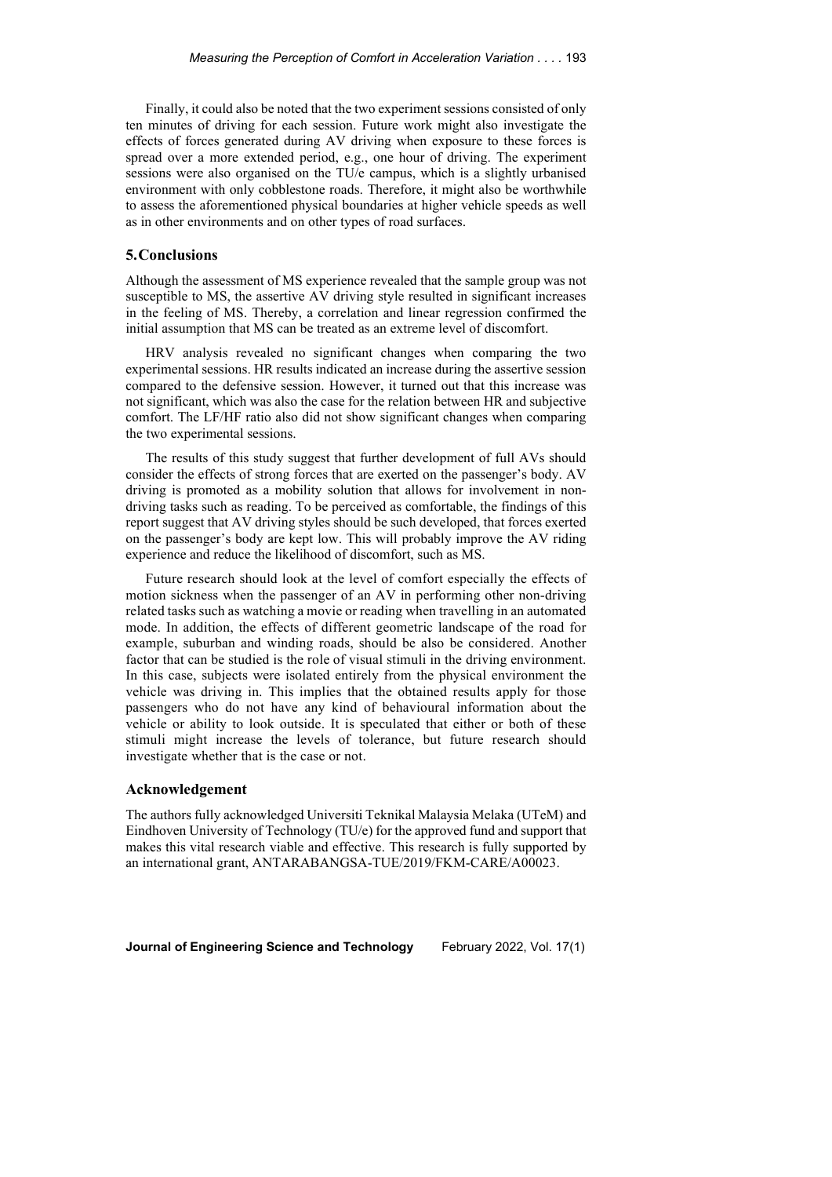Finally, it could also be noted that the two experiment sessions consisted of only ten minutes of driving for each session. Future work might also investigate the effects of forces generated during AV driving when exposure to these forces is spread over a more extended period, e.g., one hour of driving. The experiment sessions were also organised on the TU/e campus, which is a slightly urbanised environment with only cobblestone roads. Therefore, it might also be worthwhile to assess the aforementioned physical boundaries at higher vehicle speeds as well as in other environments and on other types of road surfaces.

#### **5.Conclusions**

Although the assessment of MS experience revealed that the sample group was not susceptible to MS, the assertive AV driving style resulted in significant increases in the feeling of MS. Thereby, a correlation and linear regression confirmed the initial assumption that MS can be treated as an extreme level of discomfort.

HRV analysis revealed no significant changes when comparing the two experimental sessions. HR results indicated an increase during the assertive session compared to the defensive session. However, it turned out that this increase was not significant, which was also the case for the relation between HR and subjective comfort. The LF/HF ratio also did not show significant changes when comparing the two experimental sessions.

The results of this study suggest that further development of full AVs should consider the effects of strong forces that are exerted on the passenger's body. AV driving is promoted as a mobility solution that allows for involvement in nondriving tasks such as reading. To be perceived as comfortable, the findings of this report suggest that AV driving styles should be such developed, that forces exerted on the passenger's body are kept low. This will probably improve the AV riding experience and reduce the likelihood of discomfort, such as MS.

Future research should look at the level of comfort especially the effects of motion sickness when the passenger of an AV in performing other non-driving related tasks such as watching a movie or reading when travelling in an automated mode. In addition, the effects of different geometric landscape of the road for example, suburban and winding roads, should be also be considered. Another factor that can be studied is the role of visual stimuli in the driving environment. In this case, subjects were isolated entirely from the physical environment the vehicle was driving in. This implies that the obtained results apply for those passengers who do not have any kind of behavioural information about the vehicle or ability to look outside. It is speculated that either or both of these stimuli might increase the levels of tolerance, but future research should investigate whether that is the case or not.

#### **Acknowledgement**

The authors fully acknowledged Universiti Teknikal Malaysia Melaka (UTeM) and Eindhoven University of Technology (TU/e) for the approved fund and support that makes this vital research viable and effective. This research is fully supported by an international grant, ANTARABANGSA-TUE/2019/FKM-CARE/A00023.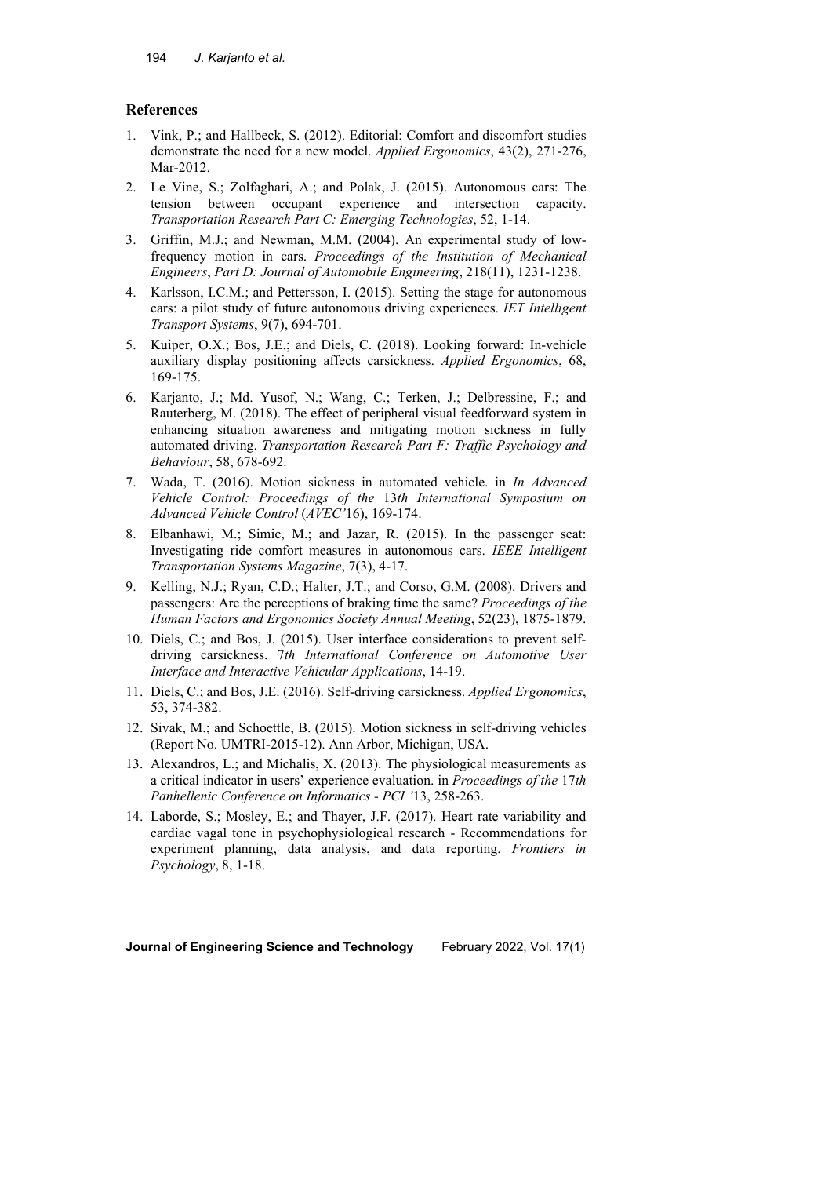# **References**

- 1. Vink, P.; and Hallbeck, S. (2012). Editorial: Comfort and discomfort studies demonstrate the need for a new model. *Applied Ergonomics*, 43(2), 271-276, Mar-2012.
- 2. Le Vine, S.; Zolfaghari, A.; and Polak, J. (2015). Autonomous cars: The tension between occupant experience and intersection capacity. *Transportation Research Part C: Emerging Technologies*, 52, 1-14.
- 3. Griffin, M.J.; and Newman, M.M. (2004). An experimental study of lowfrequency motion in cars. *Proceedings of the Institution of Mechanical Engineers*, *Part D: Journal of Automobile Engineering*, 218(11), 1231-1238.
- 4. Karlsson, I.C.M.; and Pettersson, I. (2015). Setting the stage for autonomous cars: a pilot study of future autonomous driving experiences. *IET Intelligent Transport Systems*, 9(7), 694-701.
- 5. Kuiper, O.X.; Bos, J.E.; and Diels, C. (2018). Looking forward: In-vehicle auxiliary display positioning affects carsickness. *Applied Ergonomics*, 68, 169-175.
- 6. Karjanto, J.; Md. Yusof, N.; Wang, C.; Terken, J.; Delbressine, F.; and Rauterberg, M. (2018). The effect of peripheral visual feedforward system in enhancing situation awareness and mitigating motion sickness in fully automated driving. *Transportation Research Part F: Traffic Psychology and Behaviour*, 58, 678-692.
- 7. Wada, T. (2016). Motion sickness in automated vehicle. in *In Advanced Vehicle Control: Proceedings of the* 13*th International Symposium on Advanced Vehicle Control* (*AVEC'*16), 169-174.
- 8. Elbanhawi, M.; Simic, M.; and Jazar, R. (2015). In the passenger seat: Investigating ride comfort measures in autonomous cars. *IEEE Intelligent Transportation Systems Magazine*, 7(3), 4-17.
- 9. Kelling, N.J.; Ryan, C.D.; Halter, J.T.; and Corso, G.M. (2008). Drivers and passengers: Are the perceptions of braking time the same? *Proceedings of the Human Factors and Ergonomics Society Annual Meeting*, 52(23), 1875-1879.
- 10. Diels, C.; and Bos, J. (2015). User interface considerations to prevent selfdriving carsickness. 7*th International Conference on Automotive User Interface and Interactive Vehicular Applications*, 14-19.
- 11. Diels, C.; and Bos, J.E. (2016). Self-driving carsickness. *Applied Ergonomics*, 53, 374-382.
- 12. Sivak, M.; and Schoettle, B. (2015). Motion sickness in self-driving vehicles (Report No. UMTRI-2015-12). Ann Arbor, Michigan, USA.
- 13. Alexandros, L.; and Michalis, X. (2013). The physiological measurements as a critical indicator in users' experience evaluation. in *Proceedings of the* 17*th Panhellenic Conference on Informatics - PCI '*13, 258-263.
- 14. Laborde, S.; Mosley, E.; and Thayer, J.F. (2017). Heart rate variability and cardiac vagal tone in psychophysiological research - Recommendations for experiment planning, data analysis, and data reporting. *Frontiers in Psychology*, 8, 1-18.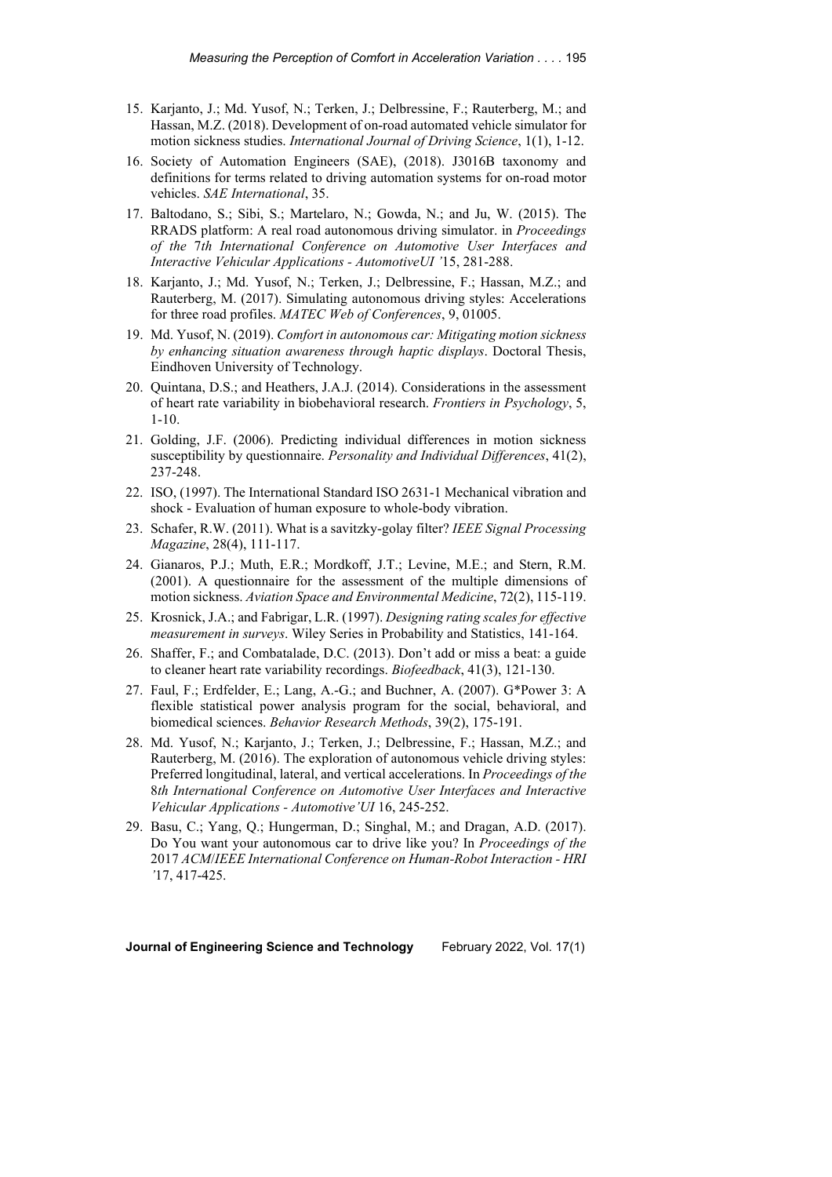- 15. Karjanto, J.; Md. Yusof, N.; Terken, J.; Delbressine, F.; Rauterberg, M.; and Hassan, M.Z. (2018). Development of on-road automated vehicle simulator for motion sickness studies. *International Journal of Driving Science*, 1(1), 1-12.
- 16. Society of Automation Engineers (SAE), (2018). J3016B taxonomy and definitions for terms related to driving automation systems for on-road motor vehicles. *SAE International*, 35.
- 17. Baltodano, S.; Sibi, S.; Martelaro, N.; Gowda, N.; and Ju, W. (2015). The RRADS platform: A real road autonomous driving simulator. in *Proceedings of the* 7*th International Conference on Automotive User Interfaces and Interactive Vehicular Applications - AutomotiveUI '*15, 281-288.
- 18. Karjanto, J.; Md. Yusof, N.; Terken, J.; Delbressine, F.; Hassan, M.Z.; and Rauterberg, M. (2017). Simulating autonomous driving styles: Accelerations for three road profiles. *MATEC Web of Conferences*, 9, 01005.
- 19. Md. Yusof, N. (2019). *Comfort in autonomous car: Mitigating motion sickness by enhancing situation awareness through haptic displays*. Doctoral Thesis, Eindhoven University of Technology.
- 20. Quintana, D.S.; and Heathers, J.A.J. (2014). Considerations in the assessment of heart rate variability in biobehavioral research. *Frontiers in Psychology*, 5, 1-10.
- 21. Golding, J.F. (2006). Predicting individual differences in motion sickness susceptibility by questionnaire. *Personality and Individual Differences*, 41(2), 237-248.
- 22. ISO, (1997). The International Standard ISO 2631-1 Mechanical vibration and shock - Evaluation of human exposure to whole-body vibration.
- 23. Schafer, R.W. (2011). What is a savitzky-golay filter? *IEEE Signal Processing Magazine*, 28(4), 111-117.
- 24. Gianaros, P.J.; Muth, E.R.; Mordkoff, J.T.; Levine, M.E.; and Stern, R.M. (2001). A questionnaire for the assessment of the multiple dimensions of motion sickness. *Aviation Space and Environmental Medicine*, 72(2), 115-119.
- 25. Krosnick, J.A.; and Fabrigar, L.R. (1997). *Designing rating scales for effective measurement in surveys*. Wiley Series in Probability and Statistics, 141-164.
- 26. Shaffer, F.; and Combatalade, D.C. (2013). Don't add or miss a beat: a guide to cleaner heart rate variability recordings. *Biofeedback*, 41(3), 121-130.
- 27. Faul, F.; Erdfelder, E.; Lang, A.-G.; and Buchner, A. (2007). G\*Power 3: A flexible statistical power analysis program for the social, behavioral, and biomedical sciences. *Behavior Research Methods*, 39(2), 175-191.
- 28. Md. Yusof, N.; Karjanto, J.; Terken, J.; Delbressine, F.; Hassan, M.Z.; and Rauterberg, M. (2016). The exploration of autonomous vehicle driving styles: Preferred longitudinal, lateral, and vertical accelerations. In *Proceedings of the*  8*th International Conference on Automotive User Interfaces and Interactive Vehicular Applications - Automotive'UI* 16, 245-252.
- 29. Basu, C.; Yang, Q.; Hungerman, D.; Singhal, M.; and Dragan, A.D. (2017). Do You want your autonomous car to drive like you? In *Proceedings of the*  2017 *ACM*/*IEEE International Conference on Human-Robot Interaction - HRI '*17, 417-425.